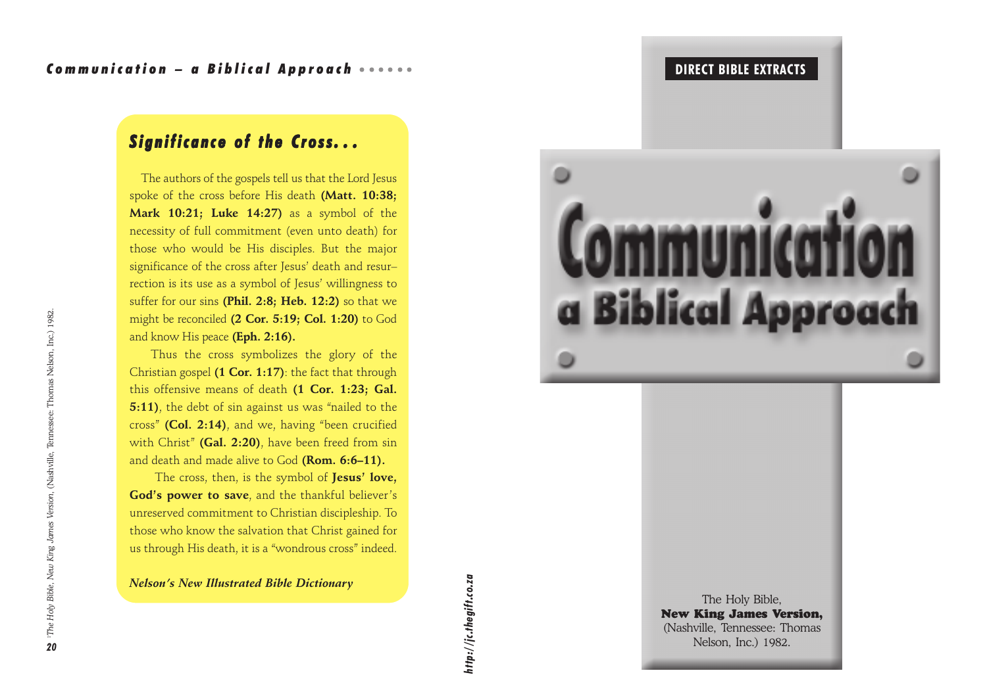#### OS THE DIRECT BIBLE EXTRACTS THE STRACTS OF THE STRACTS OF THE STRACTS OF THE STRACTS OF THE STRACTS OF THE STRACTS OF THE STRACTS OF THE STRACT STRACT STRACTS OF THE STRACT STRACT STRACTS OF THE STRACT STRACT STRACT STRAC

## *Significance of the Cross of the Cross. . .*

 The authors of the gospels tell us that the Lord Jesus spoke of the cross before His death **(Matt. 10:38; Mark 10:21; Luke 14:27)** as a symbol of the necessity of full commitment (even unto death) for those who would be His disciples. But the major significance of the cross after Jesus' death and resur– rection is its use as a symbol of Jesus' willingness to suffer for our sins **(Phil. 2:8; Heb. 12:2)** so that we might be reconciled **(2 Cor. 5:19; Col. 1:20)** to God and know His peace **(Eph. 2:16).**

Thus the cross symbolizes the glory of the Christian gospel **(1 Cor. 1:17)**: the fact that through this offensive means of death **(1 Cor. 1:23; Gal. 5:11)**, the debt of sin against us was "nailed to the cross" **(Col. 2:14)**, and we, having "been crucified with Christ" **(Gal. 2:20)**, have been freed from sin and death and made alive to God **(Rom. 6:6–11).**

 The cross, then, is the symbol of **Jesus' love, God's power to save**, and the thankful believer's unreserved commitment to Christian discipleship. To those who know the salvation that Christ gained for us through His death, it is a "wondrous cross" indeed.

*Nelson's New Illustrated Bible Dictionary*



The Holy Bible, New King James Version, (Nashville, Tennessee: Thomas Nelson's New Illustrated Bible Dictionary<br> **20 New King James Very Find Mashville**, Tennessee: The Holy Bible,<br> **20 New King James Very Property of the Gift of the Holy Bible, Tennessee: The Holy Bible, Tennessee: The**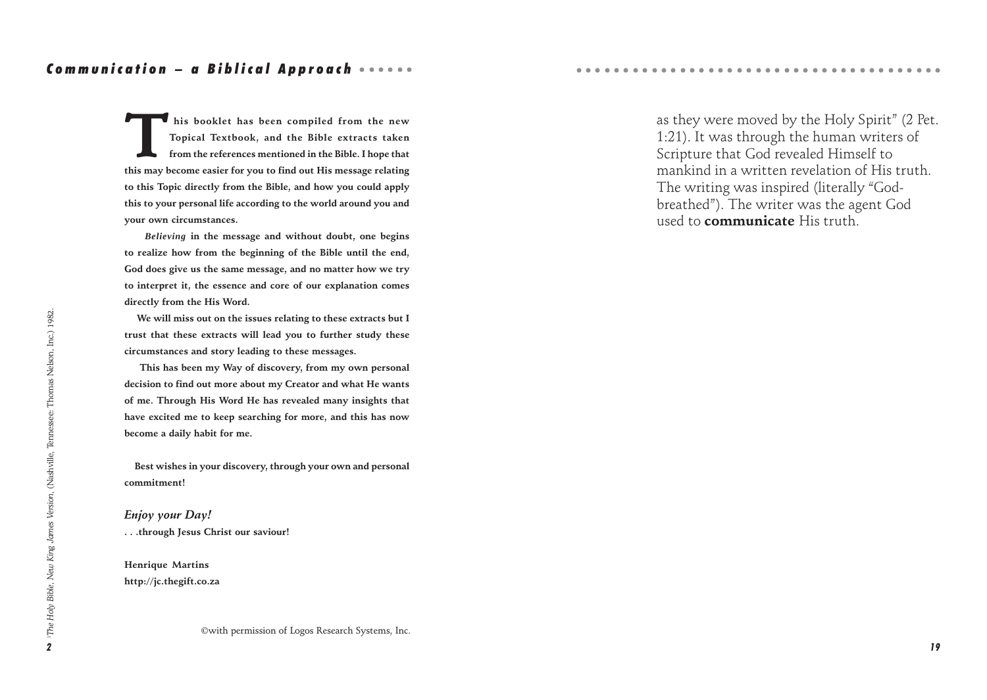#### Communication – a Biblical Approach •••••••

This booklet has been compiled from the new<br>Topical Textbook, and the Bible extracts taken<br>from the references mentioned in the Bible. I hope that **Topical Textbook, and the Bible extracts taken from the references mentioned in the Bible. I hope that this may become easier for you to find out His message relating to this Topic directly from the Bible, and how you could apply this to your personal life according to the world around you and your own circumstances.**

 *Believing* **in the message and without doubt, one begins to realize how from the beginning of the Bible until the end, God does give us the same message, and no matter how we try to interpret it, the essence and core of our explanation comes directly from the His Word.**

 **We will miss out on the issues relating to these extracts but I trust that these extracts will lead you to further study these circumstances and story leading to these messages.**

 **This has been my Way of discovery, from my own personal decision to find out more about my Creator and what He wants of me. Through His Word He has revealed many insights that have excited me to keep searching for more, and this has now become a daily habit for me.**

 **Best wishes in your discovery, through your own and personal commitment!**

*Enjoy your Day!* **. . .through Jesus Christ our saviour!**

**Henrique Martins http://jc.thegift.co.za** as they were moved by the Holy Spirit" (2 Pet. 1:21). It was through the human writers of Scripture that God revealed Himself to mankind in a written revelation of His truth. The writing was inspired (literally "Godbreathed"). The writer was the agent God used to **communicate** His truth.

○○○○○○○○○○○○○○○○○○○○○○○○○○○○○○○○○○ ○○○○○

©with permission of Logos Research Systems, Inc.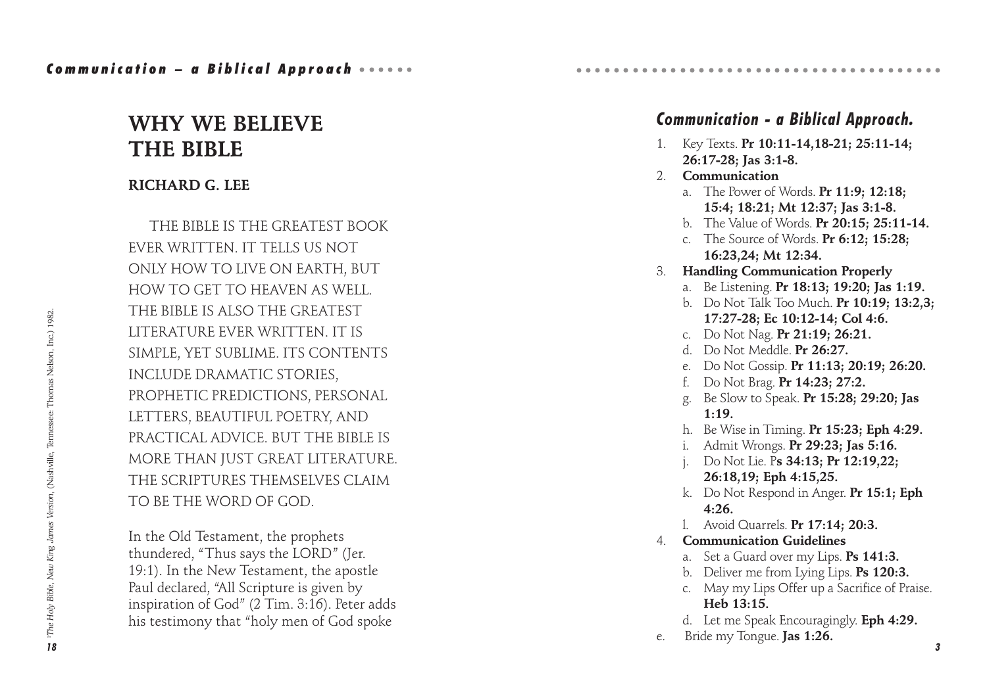## **WHY WE BELIEVE THE BIBLE**

## **RICHARD G. LEE**

THE BIBLE IS THE GREATEST BOOK EVER WRITTEN. IT TELLS US NOT ONLY HOW TO LIVE ON EARTH, BUT HOW TO GET TO HEAVEN AS WELL. THE BIBLE IS ALSO THE GREATEST LITERATURE EVER WRITTEN. IT IS SIMPLE, YET SUBLIME. ITS CONTENTS INCLUDE DRAMATIC STORIES, PROPHETIC PREDICTIONS, PERSONAL LETTERS, BEAUTIFUL POETRY, AND PRACTICAL ADVICE. BUT THE BIBLE IS MORE THAN JUST GREAT LITERATURE. THE SCRIPTURES THEMSELVES CLAIM TO BE THE WORD OF GOD.

In the Old Testament, the prophets thundered, "Thus says the LORD" (Jer. 19:1). In the New Testament, the apostle Paul declared, "All Scripture is given by inspiration of God" (2 Tim. 3:16). Peter adds his testimony that "holy men of God spoke

## *Communication - a Biblical Approach.*

○○○○○○○○○○○○○○○○○○○○○○○○○○○○○○○○○○ ○○○○○

- 1. Key Texts. **Pr 10:11-14,18-21; 25:11-14; 26:17-28; Jas 3:1-8.**
- 2. **Communication**
	- a. The Power of Words. **Pr 11:9; 12:18; 15:4; 18:21; Mt 12:37; Jas 3:1-8.**
	- b. The Value of Words. **Pr 20:15; 25:11-14.**
	- c. The Source of Words. **Pr 6:12; 15:28; 16:23,24; Mt 12:34.**
- 3. **Handling Communication Properly**
	- a. Be Listening. **Pr 18:13; 19:20; Jas 1:19.**
	- b. Do Not Talk Too Much. **Pr 10:19; 13:2,3; 17:27-28; Ec 10:12-14; Col 4:6.**
	- c. Do Not Nag. **Pr 21:19; 26:21.**
	- d. Do Not Meddle. **Pr 26:27.**
	- e. Do Not Gossip. **Pr 11:13; 20:19; 26:20.**
	- f. Do Not Brag. **Pr 14:23; 27:2.**
	- g. Be Slow to Speak. **Pr 15:28; 29:20; Jas 1:19.**
	- h. Be Wise in Timing. **Pr 15:23; Eph 4:29.**
	- i. Admit Wrongs. **Pr 29:23; Jas 5:16.**
	- j. Do Not Lie. P**s 34:13; Pr 12:19,22; 26:18,19; Eph 4:15,25.**
	- k. Do Not Respond in Anger. **Pr 15:1; Eph 4:26.**
	- l. Avoid Quarrels. **Pr 17:14; 20:3.**
- 4. **Communication Guidelines**
	- a. Set a Guard over my Lips. **Ps 141:3.**
	- b. Deliver me from Lying Lips. **Ps 120:3.**
	- c. May my Lips Offer up a Sacrifice of Praise. **Heb 13:15.**
	- d. Let me Speak Encouragingly. **Eph 4:29.**
- e. Bride my Tongue. **Jas 1:26.**

*3*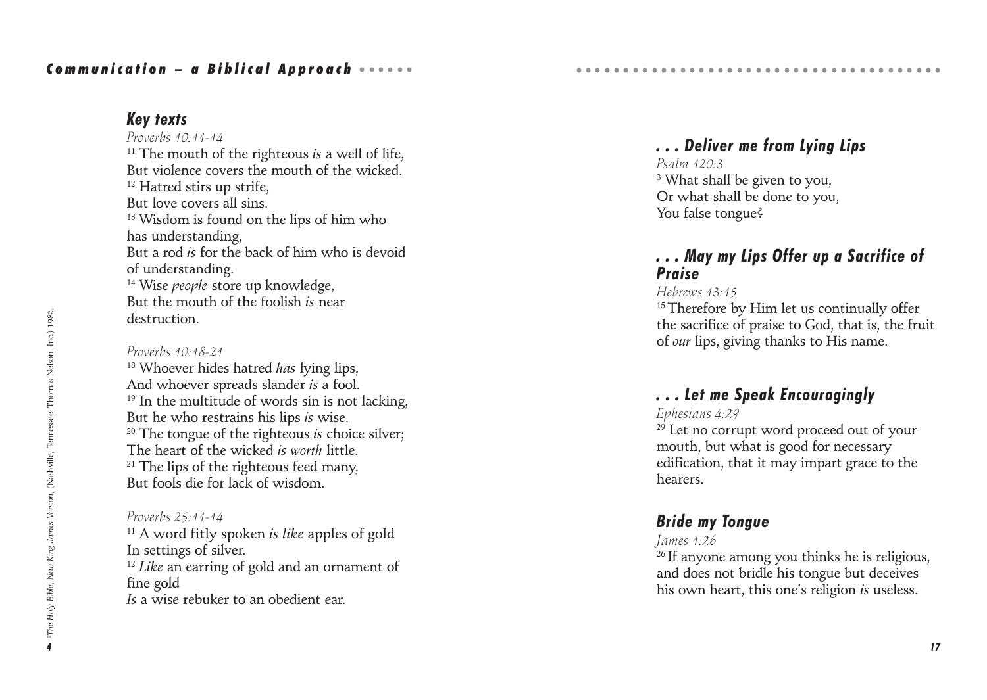## *Key texts*

*Proverbs 10:11-14* <sup>11</sup> The mouth of the righteous *is* a well of life, But violence covers the mouth of the wicked <sup>12</sup> Hatred stirs up strife, But love covers all sins. <sup>13</sup> Wisdom is found on the lips of him who has understanding, But a rod *is* for the back of him who is devoid of understanding. 14 Wise *people* store up knowledge, But the mouth of the foolish *is* near destruction.

#### *Proverbs 10:18-21*

18 Whoever hides hatred *has* lying lips, And whoever spreads slander *is* a fool.  $19$  In the multitude of words sin is not lacking. But he who restrains his lips *is* wise. 20 The tongue of the righteous *is* choice silver; The heart of the wicked *is worth* little.  $21$  The lips of the righteous feed many, But fools die for lack of wisdom.

#### *Proverbs 25:11-14*

11 A word fitly spoken *is like* apples of gold In settings of silver. <sup>12</sup> *Like* an earring of gold and an ornament of fine gold *Is* a wise rebuker to an obedient ear.

## *. . . Deliver me from Lying Lips*

○○○○○○○○○○○○○○○○○○○○○○○○○○○○○○○○○○ ○○○○○

*Psalm 120:3* 3 What shall be given to you, Or what shall be done to you, You false tongue?

## *. . . May my Lips Offer up a Sacrifice of Praise*

#### *Hebrews 13:15*

<sup>15</sup> Therefore by Him let us continually offer the sacrifice of praise to God, that is, the fruit of *our* lips, giving thanks to His name.

## *. . . Let me Speak Encouragingly*

#### *Ephesians 4:29*

 $29$  Let no corrupt word proceed out of your mouth, but what is good for necessary edification, that it may impart grace to the hearers.

### *Bride my Tongue*

#### *James 1:26*

<sup>26</sup> If anyone among you thinks he is religious, and does not bridle his tongue but deceives his own heart, this one's religion *is* useless.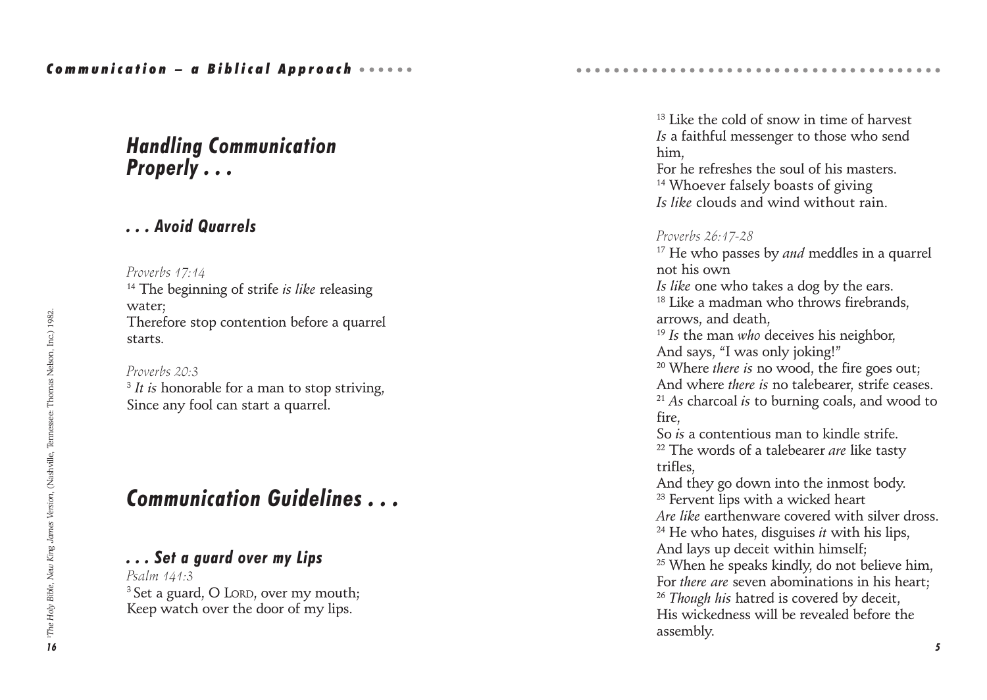## *Handling Communication Properly . . .*

## *. . . Avoid Quarrels*

*Proverbs 17:14*

14 The beginning of strife *is like* releasing water; Therefore stop contention before a quarrel starts.

*Proverbs 20:3* <sup>3</sup> *It is* honorable for a man to stop striving, Since any fool can start a quarrel.

## *Communication Guidelines . . .*

## *. . . Set a guard over my Lips*

*Psalm 141:3* <sup>3</sup> Set a guard, O LORD, over my mouth; Keep watch over the door of my lips.

<sup>13</sup> Like the cold of snow in time of harvest *Is* a faithful messenger to those who send him,

○○○○○○○○○○○○○○○○○○○○○○○○○○○○○○○○○○ ○○○○○

For he refreshes the soul of his masters. <sup>14</sup> Whoever falsely boasts of giving *Is like* clouds and wind without rain.

#### *Proverbs 26:17-28*

17 He who passes by *and* meddles in a quarrel not his own *Is like* one who takes a dog by the ears. <sup>18</sup> Like a madman who throws firebrands, arrows, and death, <sup>19</sup> *Is* the man *who* deceives his neighbor, And says, "I was only joking!" 20 Where *there is* no wood, the fire goes out; And where *there is* no talebearer, strife ceases. <sup>21</sup> *As* charcoal *is* to burning coals, and wood to fire, So *is* a contentious man to kindle strife. 22 The words of a talebearer *are* like tasty trifles, And they go down into the inmost body. <sup>23</sup> Fervent lips with a wicked heart *Are like* earthenware covered with silver dross. 24 He who hates, disguises *it* with his lips, And lays up deceit within himself; <sup>25</sup> When he speaks kindly, do not believe him, For *there are* seven abominations in his heart; <sup>26</sup> *Though his* hatred is covered by deceit, His wickedness will be revealed before the assembly.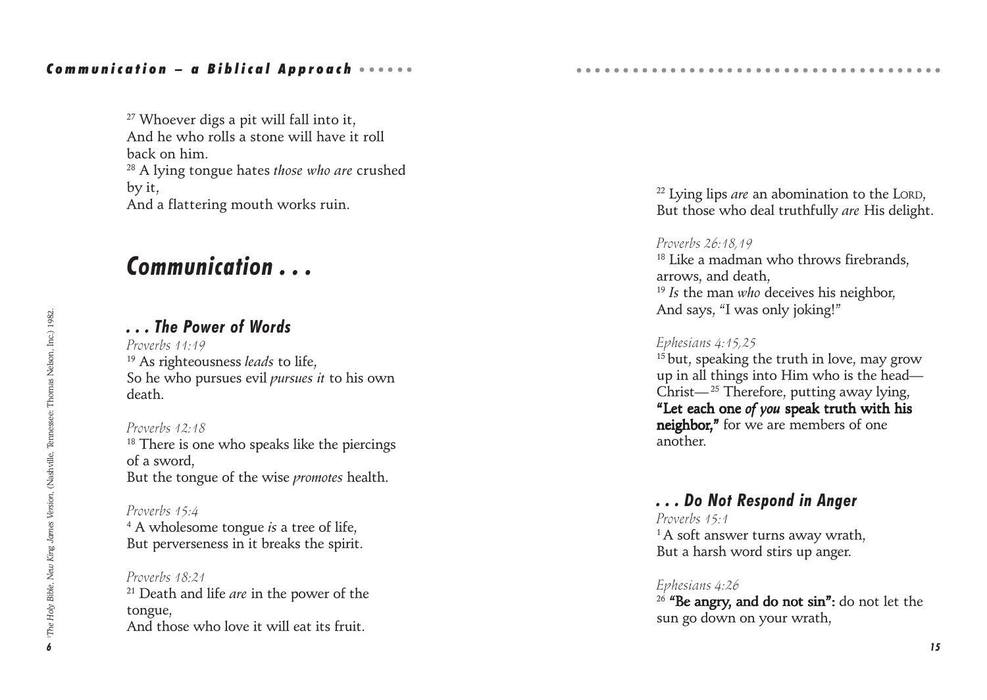<sup>27</sup> Whoever digs a pit will fall into it. And he who rolls a stone will have it roll back on him. 28 A lying tongue hates *those who are* crushed by it, And a flattering mouth works ruin.

## *Communication . . .*

## *. . . The Power of Words*

*Proverbs 11:19* 19 As righteousness *leads* to life, So he who pursues evil *pursues it* to his own death.

*Proverbs 12:18* <sup>18</sup> There is one who speaks like the piercings of a sword, But the tongue of the wise *promotes* health.

*Proverbs 15:4* 4 A wholesome tongue *is* a tree of life, But perverseness in it breaks the spirit.

*Proverbs 18:21* 21 Death and life *are* in the power of the tongue, And those who love it will eat its fruit.

22 Lying lips *are* an abomination to the LORD, But those who deal truthfully *are* His delight.

○○○○○○○○○○○○○○○○○○○○○○○○○○○○○○○○○○ ○○○○○

#### *Proverbs 26:18,19*

<sup>18</sup> Like a madman who throws firebrands, arrows, and death, <sup>19</sup> *Is* the man *who* deceives his neighbor, And says, "I was only joking!"

#### *Ephesians 4:15,25*

 $15$  but, speaking the truth in love, may grow up in all things into Him who is the head— Christ— $^{25}$  Therefore, putting away lying, "Let each one of you speak truth with his neighbor," for we are members of one another.

## *. . . Do Not Respond in Anger*

*Proverbs 15:1* <sup>1</sup>A soft answer turns away wrath, But a harsh word stirs up anger.

#### *Ephesians 4:26*

 $26$  "Be angry, and do not sin": do not let the sun go down on your wrath,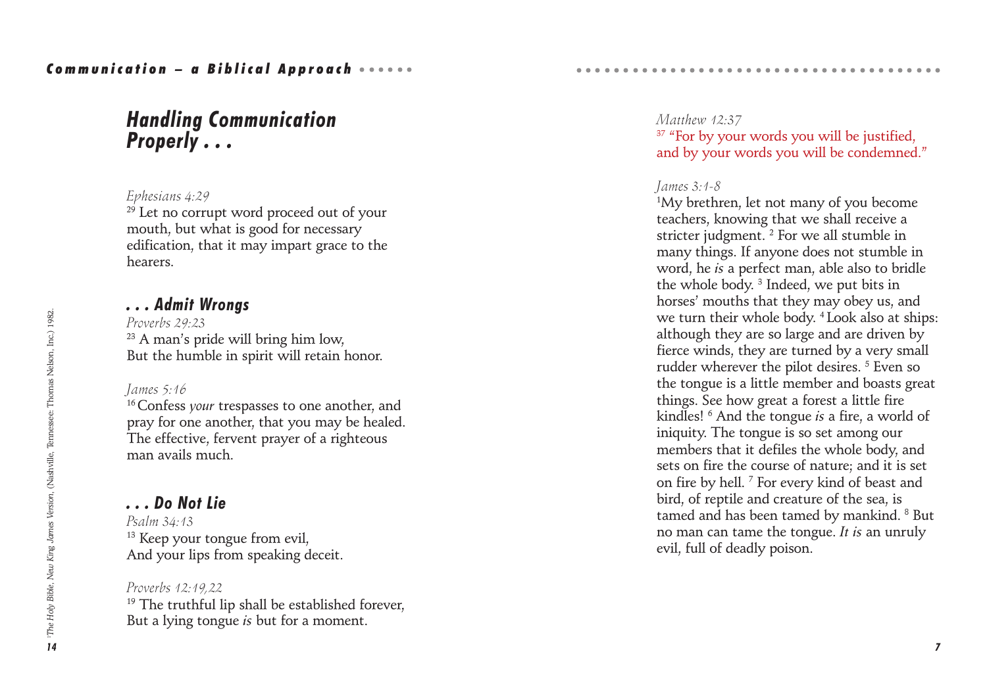## *Handling Communication Properly . . .*

#### *Ephesians 4:29*

 $29$  Let no corrupt word proceed out of your mouth, but what is good for necessary edification, that it may impart grace to the hearers.

### *. . . Admit Wrongs*

*Proverbs 29:23* <sup>23</sup> A man's pride will bring him low, But the humble in spirit will retain honor.

#### *James 5:16*

16 Confess *your* trespasses to one another, and pray for one another, that you may be healed. The effective, fervent prayer of a righteous man avails much.

### *. . . Do Not Lie*

*Psalm 34:13* <sup>13</sup> Keep your tongue from evil, And your lips from speaking deceit.

#### *Proverbs 12:19,22*  $19$  The truthful lip shall be established forever, But a lying tongue *is* but for a moment.

### *Matthew 12:37* <sup>37</sup> "For by your words you will be justified. and by your words you will be condemned."

○○○○○○○○○○○○○○○○○○○○○○○○○○○○○○○○○○ ○○○○○

#### *James 3:1-8*

1 My brethren, let not many of you become teachers, knowing that we shall receive a stricter judgment.<sup>2</sup> For we all stumble in many things. If anyone does not stumble in word, he *is* a perfect man, able also to bridle the whole body. 3 Indeed, we put bits in horses' mouths that they may obey us, and we turn their whole body. 4 Look also at ships: although they are so large and are driven by fierce winds, they are turned by a very small rudder wherever the pilot desires. <sup>5</sup> Even so the tongue is a little member and boasts great things. See how great a forest a little fire kindles! 6 And the tongue *is* a fire, a world of iniquity. The tongue is so set among our members that it defiles the whole body, and sets on fire the course of nature; and it is set on fire by hell. 7 For every kind of beast and bird, of reptile and creature of the sea, is tamed and has been tamed by mankind. <sup>8</sup> But no man can tame the tongue. *It is* an unruly evil, full of deadly poison.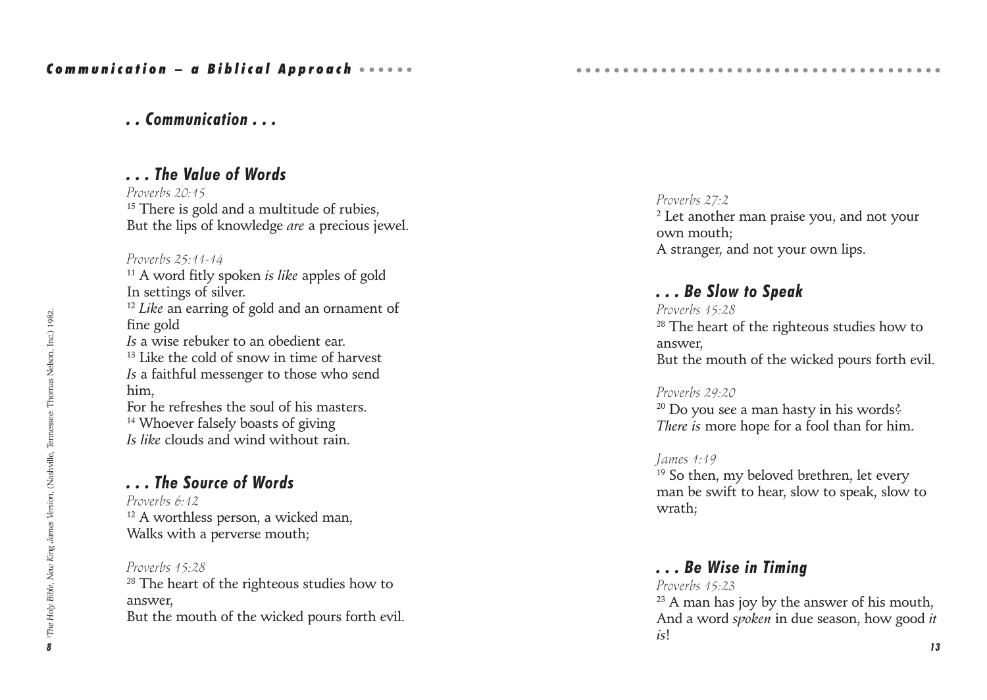## *. . Communication . . .*

## *. . . The Value of Words*

*Proverbs 20:15* <sup>15</sup> There is gold and a multitude of rubies. But the lips of knowledge *are* a precious jewel.

#### *Proverbs 25:11-14*

11 A word fitly spoken *is like* apples of gold In settings of silver. <sup>12</sup> *Like* an earring of gold and an ornament of fine gold *Is* a wise rebuker to an obedient ear. <sup>13</sup> Like the cold of snow in time of harvest *Is* a faithful messenger to those who send him, For he refreshes the soul of his masters. <sup>14</sup> Whoever falsely boasts of giving *Is like* clouds and wind without rain.

## *. . . The Source of Words*

*Proverbs 6:12* <sup>12</sup> A worthless person, a wicked man, Walks with a perverse mouth;

*Proverbs 15:28* <sup>28</sup> The heart of the righteous studies how to answer, But the mouth of the wicked pours forth evil. *Proverbs 27:2*  $2$  Let another man praise you, and not your own mouth; A stranger, and not your own lips.

#### *. . . Be Slow to Speak*

*Proverbs 15:28* <sup>28</sup> The heart of the righteous studies how to answer, But the mouth of the wicked pours forth evil.

*Proverbs 29:20*  $20$  Do you see a man hasty in his words? *There is* more hope for a fool than for him.

#### *James 1:19*

<sup>19</sup> So then, my beloved brethren, let every man be swift to hear, slow to speak, slow to wrath;

### *. . . Be Wise in Timing*

*Proverbs 15:23*  $23$  A man has joy by the answer of his mouth, And a word *spoken* in due season, how good *it is*!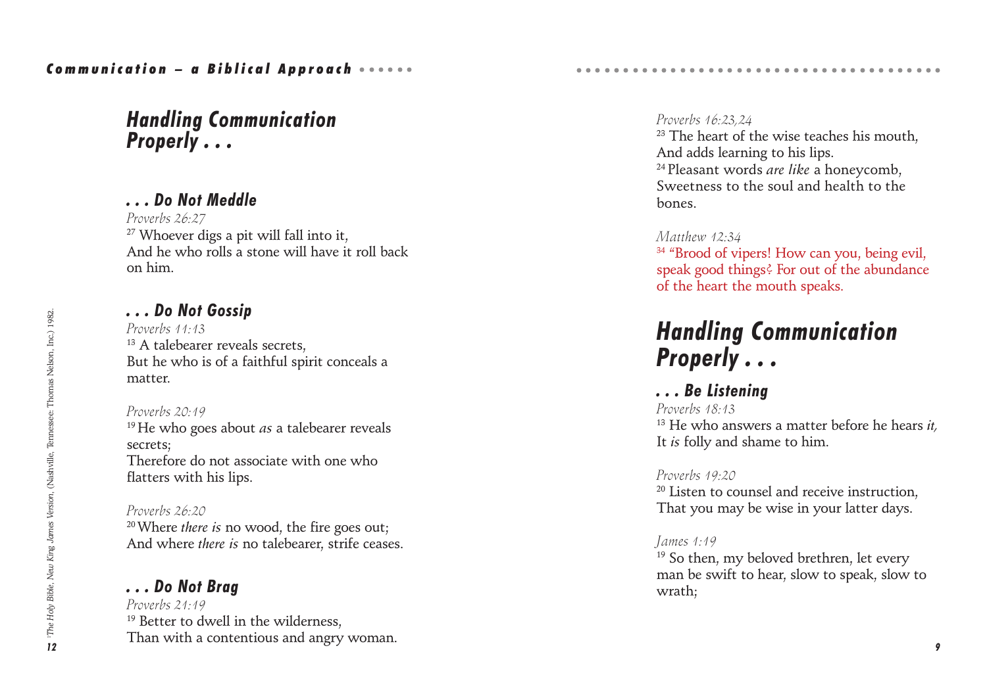## *Handling Communication Properly . . .*

## *. . . Do Not Meddle*

*Proverbs 26:27* <sup>27</sup> Whoever digs a pit will fall into it, And he who rolls a stone will have it roll back on him.

## *. . . Do Not Gossip*

*Proverbs 11:13* <sup>13</sup> A talebearer reveals secrets. But he who is of a faithful spirit conceals a matter.

#### *Proverbs 20:19*

19 He who goes about *as* a talebearer reveals secrets; Therefore do not associate with one who flatters with his lips.

#### *Proverbs 26:20*

20 Where *there is* no wood, the fire goes out; And where *there is* no talebearer, strife ceases.

## *. . . Do Not Brag*

*Proverbs 21:19* <sup>19</sup> Better to dwell in the wilderness. Than with a contentious and angry woman.

#### *Proverbs 16:23,24*

 $23$  The heart of the wise teaches his mouth. And adds learning to his lips. 24 Pleasant words *are like* a honeycomb, Sweetness to the soul and health to the bones.

○○○○○○○○○○○○○○○○○○○○○○○○○○○○○○○○○○ ○○○○○

#### *Matthew 12:34*

<sup>34</sup> "Brood of vipers! How can you, being evil, speak good things? For out of the abundance of the heart the mouth speaks.

# *Handling Communication Properly . . .*

*. . . Be Listening Proverbs 18:13* 13 He who answers a matter before he hears *it,* It *is* folly and shame to him.

*Proverbs 19:20* <sup>20</sup> Listen to counsel and receive instruction, That you may be wise in your latter days.

### *James 1:19*

<sup>19</sup> So then, my beloved brethren, let every man be swift to hear, slow to speak, slow to wrath;